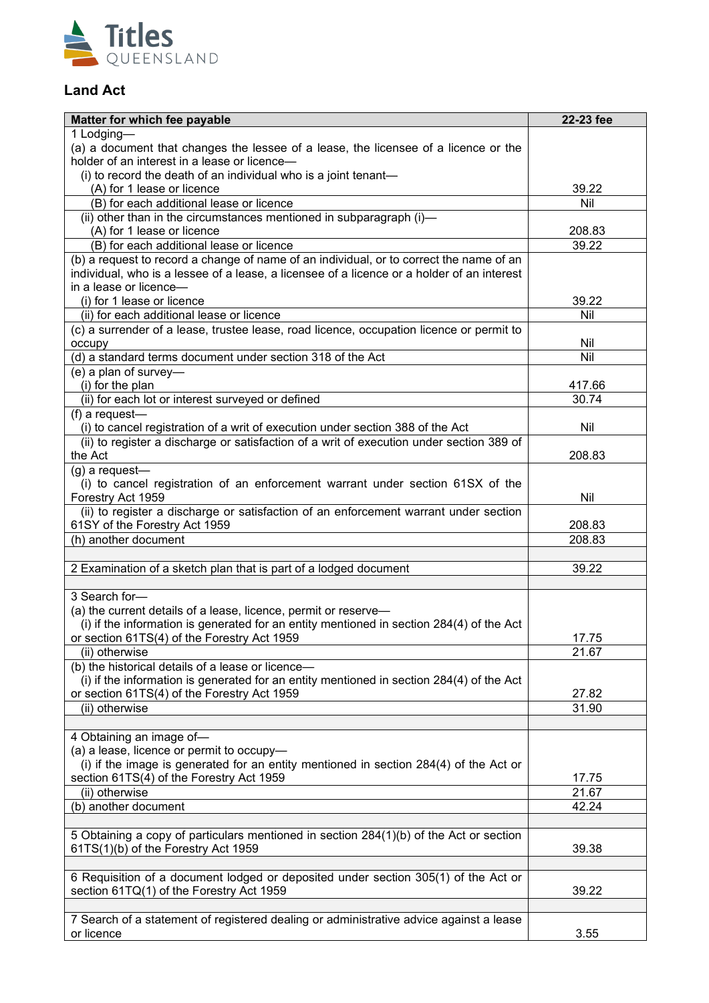

### **Land Act**

| Matter for which fee payable                                                               | 22-23 fee        |
|--------------------------------------------------------------------------------------------|------------------|
| 1 Lodging-                                                                                 |                  |
| (a) a document that changes the lessee of a lease, the licensee of a licence or the        |                  |
| holder of an interest in a lease or licence-                                               |                  |
| (i) to record the death of an individual who is a joint tenant-                            |                  |
| (A) for 1 lease or licence<br>(B) for each additional lease or licence                     | 39.22<br>Nil     |
| (ii) other than in the circumstances mentioned in subparagraph (i)-                        |                  |
| (A) for 1 lease or licence                                                                 | 208.83           |
| (B) for each additional lease or licence                                                   | 39.22            |
| (b) a request to record a change of name of an individual, or to correct the name of an    |                  |
| individual, who is a lessee of a lease, a licensee of a licence or a holder of an interest |                  |
| in a lease or licence-                                                                     |                  |
| (i) for 1 lease or licence                                                                 | 39.22            |
| (ii) for each additional lease or licence                                                  | Nil              |
| (c) a surrender of a lease, trustee lease, road licence, occupation licence or permit to   |                  |
| occupy                                                                                     | Nil              |
| (d) a standard terms document under section 318 of the Act                                 | Nil              |
| (e) a plan of survey-                                                                      |                  |
| (i) for the plan                                                                           | 417.66           |
| (ii) for each lot or interest surveyed or defined                                          | 30.74            |
| (f) a request-                                                                             |                  |
| (i) to cancel registration of a writ of execution under section 388 of the Act             | Nil              |
| (ii) to register a discharge or satisfaction of a writ of execution under section 389 of   |                  |
| the Act                                                                                    | 208.83           |
| (g) a request-                                                                             |                  |
| (i) to cancel registration of an enforcement warrant under section 61SX of the             |                  |
| Forestry Act 1959                                                                          | Nil              |
| (ii) to register a discharge or satisfaction of an enforcement warrant under section       |                  |
| 61SY of the Forestry Act 1959<br>(h) another document                                      | 208.83<br>208.83 |
|                                                                                            |                  |
| 2 Examination of a sketch plan that is part of a lodged document                           | 39.22            |
|                                                                                            |                  |
| 3 Search for-                                                                              |                  |
| (a) the current details of a lease, licence, permit or reserve-                            |                  |
| (i) if the information is generated for an entity mentioned in section 284(4) of the Act   |                  |
| or section 61TS(4) of the Forestry Act 1959                                                | 17.75            |
| (ii) otherwise                                                                             | 21.67            |
| (b) the historical details of a lease or licence-                                          |                  |
| (i) if the information is generated for an entity mentioned in section 284(4) of the Act   |                  |
| or section 61TS(4) of the Forestry Act 1959                                                | 27.82            |
| (ii) otherwise                                                                             | 31.90            |
|                                                                                            |                  |
| 4 Obtaining an image of-                                                                   |                  |
| (a) a lease, licence or permit to occupy-                                                  |                  |
| (i) if the image is generated for an entity mentioned in section 284(4) of the Act or      |                  |
| section 61TS(4) of the Forestry Act 1959                                                   | 17.75            |
| (ii) otherwise                                                                             | 21.67            |
| (b) another document                                                                       | 42.24            |
| 5 Obtaining a copy of particulars mentioned in section 284(1)(b) of the Act or section     |                  |
| 61TS(1)(b) of the Forestry Act 1959                                                        | 39.38            |
|                                                                                            |                  |
| 6 Requisition of a document lodged or deposited under section 305(1) of the Act or         |                  |
| section 61TQ(1) of the Forestry Act 1959                                                   | 39.22            |
|                                                                                            |                  |
| 7 Search of a statement of registered dealing or administrative advice against a lease     |                  |
| or licence                                                                                 | 3.55             |
|                                                                                            |                  |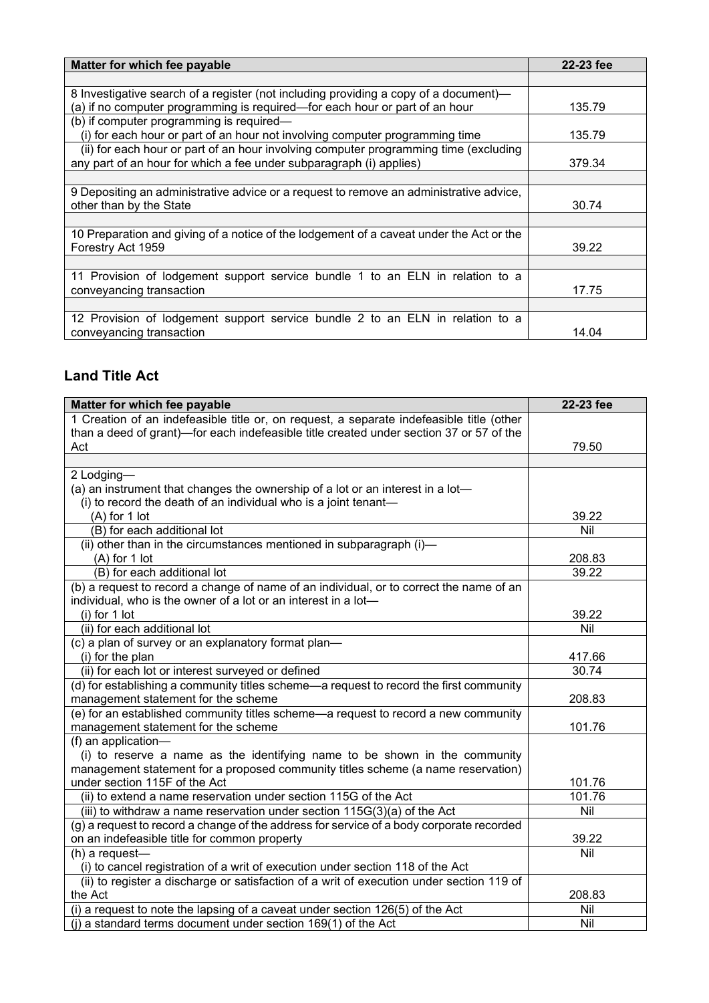| Matter for which fee payable                                                            | 22-23 fee |
|-----------------------------------------------------------------------------------------|-----------|
|                                                                                         |           |
| 8 Investigative search of a register (not including providing a copy of a document)—    |           |
| (a) if no computer programming is required—for each hour or part of an hour             | 135.79    |
| (b) if computer programming is required-                                                |           |
| (i) for each hour or part of an hour not involving computer programming time            | 135.79    |
| (ii) for each hour or part of an hour involving computer programming time (excluding    |           |
| any part of an hour for which a fee under subparagraph (i) applies)                     | 379.34    |
|                                                                                         |           |
| 9 Depositing an administrative advice or a request to remove an administrative advice,  |           |
| other than by the State                                                                 | 30.74     |
|                                                                                         |           |
| 10 Preparation and giving of a notice of the lodgement of a caveat under the Act or the |           |
| Forestry Act 1959                                                                       | 39.22     |
|                                                                                         |           |
| 11 Provision of lodgement support service bundle 1 to an ELN in relation to a           |           |
| conveyancing transaction                                                                | 17.75     |
|                                                                                         |           |
| 12 Provision of lodgement support service bundle 2 to an ELN in relation to a           |           |
| conveyancing transaction                                                                | 14.04     |

### **Land Title Act**

| Matter for which fee payable                                                             | 22-23 fee |
|------------------------------------------------------------------------------------------|-----------|
| 1 Creation of an indefeasible title or, on request, a separate indefeasible title (other |           |
| than a deed of grant)—for each indefeasible title created under section 37 or 57 of the  |           |
| Act                                                                                      | 79.50     |
|                                                                                          |           |
| 2 Lodging-                                                                               |           |
| (a) an instrument that changes the ownership of a lot or an interest in a lot-           |           |
| (i) to record the death of an individual who is a joint tenant-                          |           |
| (A) for 1 lot                                                                            | 39.22     |
| (B) for each additional lot                                                              | Nil       |
| (ii) other than in the circumstances mentioned in subparagraph (i)-                      |           |
| $(A)$ for 1 lot                                                                          | 208.83    |
| (B) for each additional lot                                                              | 39.22     |
| (b) a request to record a change of name of an individual, or to correct the name of an  |           |
| individual, who is the owner of a lot or an interest in a lot-                           |           |
| $(i)$ for 1 lot                                                                          | 39.22     |
| (ii) for each additional lot                                                             | Nil       |
| (c) a plan of survey or an explanatory format plan-                                      |           |
| (i) for the plan                                                                         | 417.66    |
| (ii) for each lot or interest surveyed or defined                                        | 30.74     |
| (d) for establishing a community titles scheme—a request to record the first community   |           |
| management statement for the scheme                                                      | 208.83    |
| (e) for an established community titles scheme-a request to record a new community       |           |
| management statement for the scheme                                                      | 101.76    |
| (f) an application-                                                                      |           |
| (i) to reserve a name as the identifying name to be shown in the community               |           |
| management statement for a proposed community titles scheme (a name reservation)         |           |
| under section 115F of the Act                                                            | 101.76    |
| (ii) to extend a name reservation under section 115G of the Act                          | 101.76    |
| (iii) to withdraw a name reservation under section 115G(3)(a) of the Act                 | Nil       |
| (g) a request to record a change of the address for service of a body corporate recorded |           |
| on an indefeasible title for common property                                             | 39.22     |
| (h) a request-                                                                           | Nil       |
| (i) to cancel registration of a writ of execution under section 118 of the Act           |           |
| (ii) to register a discharge or satisfaction of a writ of execution under section 119 of |           |
| the Act                                                                                  | 208.83    |
| (i) a request to note the lapsing of a caveat under section 126(5) of the Act            | Nil       |
| $(i)$ a standard terms document under section 169(1) of the Act                          | Nil       |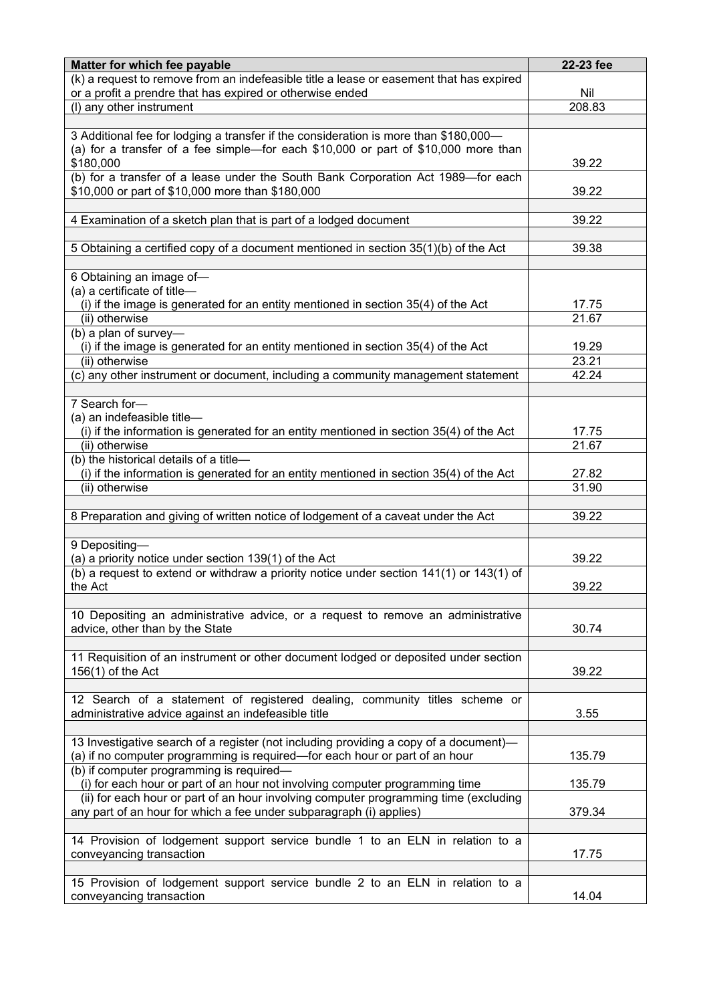| Matter for which fee payable                                                                                                                                                 | 22-23 fee      |
|------------------------------------------------------------------------------------------------------------------------------------------------------------------------------|----------------|
| (k) a request to remove from an indefeasible title a lease or easement that has expired<br>or a profit a prendre that has expired or otherwise ended                         | Nil            |
| (I) any other instrument                                                                                                                                                     | 208.83         |
|                                                                                                                                                                              |                |
| 3 Additional fee for lodging a transfer if the consideration is more than \$180,000-<br>(a) for a transfer of a fee simple—for each $$10,000$ or part of $$10,000$ more than |                |
| \$180,000                                                                                                                                                                    | 39.22          |
| (b) for a transfer of a lease under the South Bank Corporation Act 1989-for each<br>\$10,000 or part of \$10,000 more than \$180,000                                         | 39.22          |
| 4 Examination of a sketch plan that is part of a lodged document                                                                                                             | 39.22          |
| 5 Obtaining a certified copy of a document mentioned in section 35(1)(b) of the Act                                                                                          | 39.38          |
|                                                                                                                                                                              |                |
| 6 Obtaining an image of-                                                                                                                                                     |                |
| (a) a certificate of title-                                                                                                                                                  |                |
| (i) if the image is generated for an entity mentioned in section 35(4) of the Act<br>(ii) otherwise                                                                          | 17.75<br>21.67 |
| (b) a plan of survey-                                                                                                                                                        |                |
| (i) if the image is generated for an entity mentioned in section 35(4) of the Act                                                                                            | 19.29          |
| (ii) otherwise                                                                                                                                                               | 23.21          |
| (c) any other instrument or document, including a community management statement                                                                                             | 42.24          |
|                                                                                                                                                                              |                |
| 7 Search for-                                                                                                                                                                |                |
| (a) an indefeasible title-                                                                                                                                                   |                |
| (i) if the information is generated for an entity mentioned in section 35(4) of the Act                                                                                      | 17.75          |
| (ii) otherwise<br>(b) the historical details of a title-                                                                                                                     | 21.67          |
| (i) if the information is generated for an entity mentioned in section 35(4) of the Act                                                                                      | 27.82          |
| (ii) otherwise                                                                                                                                                               | 31.90          |
|                                                                                                                                                                              |                |
| 8 Preparation and giving of written notice of lodgement of a caveat under the Act                                                                                            | 39.22          |
|                                                                                                                                                                              |                |
| 9 Depositing-                                                                                                                                                                |                |
| (a) a priority notice under section 139(1) of the Act                                                                                                                        | 39.22          |
| (b) a request to extend or withdraw a priority notice under section $141(1)$ or $143(1)$ of                                                                                  |                |
| the Act                                                                                                                                                                      | 39.22          |
| 10 Depositing an administrative advice, or a request to remove an administrative                                                                                             |                |
| advice, other than by the State                                                                                                                                              | 30.74          |
|                                                                                                                                                                              |                |
| 11 Requisition of an instrument or other document lodged or deposited under section                                                                                          |                |
| $156(1)$ of the Act                                                                                                                                                          | 39.22          |
|                                                                                                                                                                              |                |
| 12 Search of a statement of registered dealing, community titles scheme or                                                                                                   |                |
| administrative advice against an indefeasible title                                                                                                                          | 3.55           |
|                                                                                                                                                                              |                |
| 13 Investigative search of a register (not including providing a copy of a document)-<br>(a) if no computer programming is required—for each hour or part of an hour         | 135.79         |
| (b) if computer programming is required-                                                                                                                                     |                |
| (i) for each hour or part of an hour not involving computer programming time                                                                                                 | 135.79         |
| (ii) for each hour or part of an hour involving computer programming time (excluding                                                                                         |                |
| any part of an hour for which a fee under subparagraph (i) applies)                                                                                                          | 379.34         |
|                                                                                                                                                                              |                |
| 14 Provision of lodgement support service bundle 1 to an ELN in relation to a                                                                                                |                |
| conveyancing transaction                                                                                                                                                     | 17.75          |
| 15 Provision of lodgement support service bundle 2 to an ELN in relation to a                                                                                                |                |
| conveyancing transaction                                                                                                                                                     | 14.04          |
|                                                                                                                                                                              |                |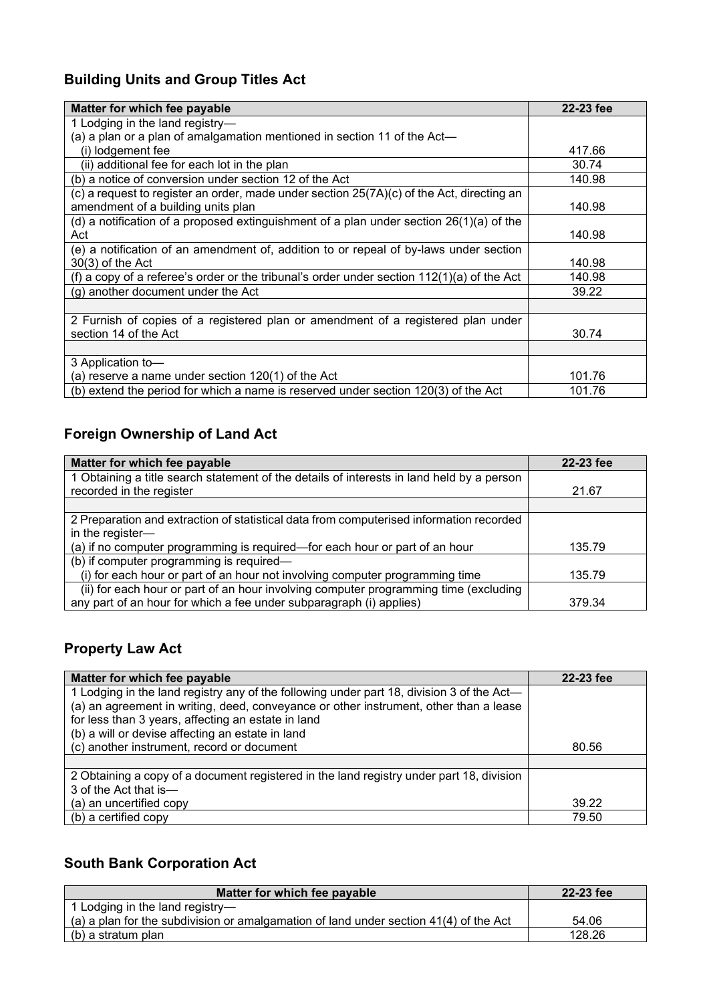# **Building Units and Group Titles Act**

| Matter for which fee payable                                                                | 22-23 fee |
|---------------------------------------------------------------------------------------------|-----------|
| 1 Lodging in the land registry-                                                             |           |
| (a) a plan or a plan of amalgamation mentioned in section 11 of the Act—                    |           |
| (i) lodgement fee                                                                           | 417.66    |
| (ii) additional fee for each lot in the plan                                                | 30.74     |
| (b) a notice of conversion under section 12 of the Act                                      | 140.98    |
| (c) a request to register an order, made under section $25(7A)(c)$ of the Act, directing an |           |
| amendment of a building units plan                                                          | 140.98    |
| (d) a notification of a proposed extinguishment of a plan under section $26(1)(a)$ of the   |           |
| Act                                                                                         | 140.98    |
| (e) a notification of an amendment of, addition to or repeal of by-laws under section       |           |
| $30(3)$ of the Act                                                                          | 140.98    |
| (f) a copy of a referee's order or the tribunal's order under section 112(1)(a) of the Act  | 140.98    |
| (g) another document under the Act                                                          | 39.22     |
|                                                                                             |           |
| 2 Furnish of copies of a registered plan or amendment of a registered plan under            |           |
| section 14 of the Act                                                                       | 30.74     |
|                                                                                             |           |
| 3 Application to-                                                                           |           |
| (a) reserve a name under section 120(1) of the Act                                          | 101.76    |
| (b) extend the period for which a name is reserved under section 120(3) of the Act          | 101.76    |

### **Foreign Ownership of Land Act**

| Matter for which fee payable                                                              | 22-23 fee |
|-------------------------------------------------------------------------------------------|-----------|
| 1 Obtaining a title search statement of the details of interests in land held by a person |           |
| recorded in the register                                                                  | 21.67     |
|                                                                                           |           |
| 2 Preparation and extraction of statistical data from computerised information recorded   |           |
| in the register-                                                                          |           |
| (a) if no computer programming is required—for each hour or part of an hour               | 135.79    |
| (b) if computer programming is required—                                                  |           |
| (i) for each hour or part of an hour not involving computer programming time              | 135.79    |
| (ii) for each hour or part of an hour involving computer programming time (excluding      |           |
| any part of an hour for which a fee under subparagraph (i) applies)                       | 379.34    |

# **Property Law Act**

| Matter for which fee payable                                                              | 22-23 fee |
|-------------------------------------------------------------------------------------------|-----------|
| 1 Lodging in the land registry any of the following under part 18, division 3 of the Act- |           |
| (a) an agreement in writing, deed, conveyance or other instrument, other than a lease     |           |
| for less than 3 years, affecting an estate in land                                        |           |
| (b) a will or devise affecting an estate in land                                          |           |
| (c) another instrument, record or document                                                | 80.56     |
|                                                                                           |           |
| 2 Obtaining a copy of a document registered in the land registry under part 18, division  |           |
| 3 of the Act that is-                                                                     |           |
| (a) an uncertified copy                                                                   | 39.22     |
| (b) a certified copy                                                                      | 79.50     |

# **South Bank Corporation Act**

| Matter for which fee payable                                                            | 22-23 fee |
|-----------------------------------------------------------------------------------------|-----------|
| 1 Lodging in the land registry-                                                         |           |
| (a) a plan for the subdivision or amalgamation of land under section $41(4)$ of the Act | 54.06     |
| (b) a stratum plan                                                                      | 128.26    |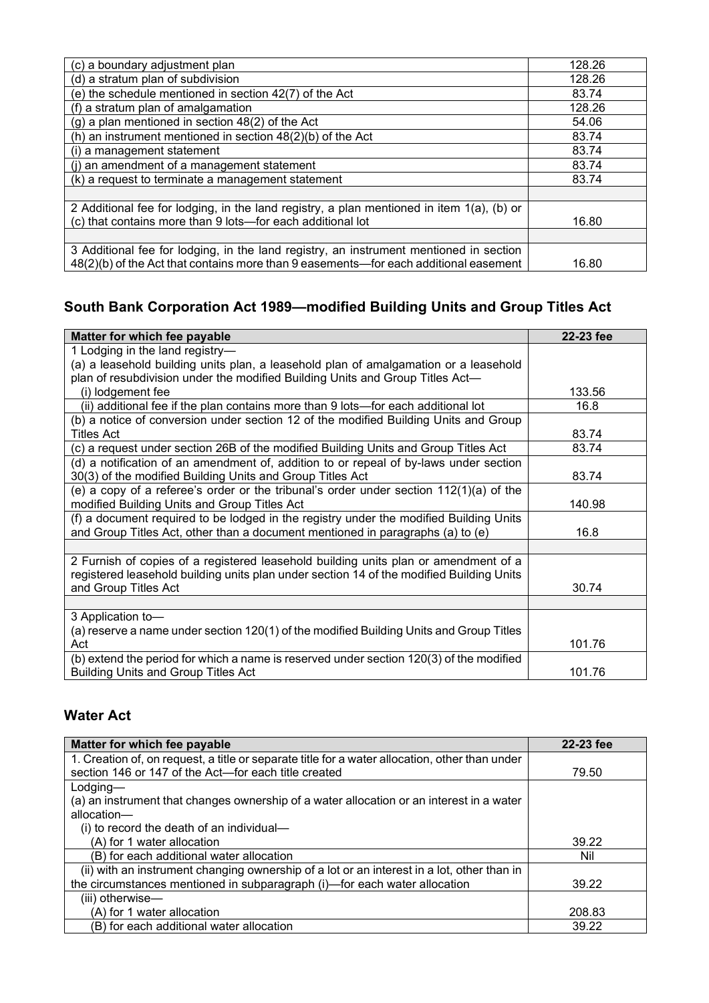| (c) a boundary adjustment plan                                                            | 128.26 |
|-------------------------------------------------------------------------------------------|--------|
| (d) a stratum plan of subdivision                                                         | 128.26 |
| (e) the schedule mentioned in section 42(7) of the Act                                    | 83.74  |
| (f) a stratum plan of amalgamation                                                        | 128.26 |
| (g) a plan mentioned in section 48(2) of the Act                                          | 54.06  |
| (h) an instrument mentioned in section $48(2)(b)$ of the Act                              | 83.74  |
| (i) a management statement                                                                | 83.74  |
| (i) an amendment of a management statement                                                | 83.74  |
| (k) a request to terminate a management statement                                         | 83.74  |
|                                                                                           |        |
| 2 Additional fee for lodging, in the land registry, a plan mentioned in item 1(a), (b) or |        |
| (c) that contains more than 9 lots-for each additional lot                                | 16.80  |
|                                                                                           |        |
| 3 Additional fee for lodging, in the land registry, an instrument mentioned in section    |        |
| 48(2)(b) of the Act that contains more than 9 easements—for each additional easement      | 16.80  |

### **South Bank Corporation Act 1989—modified Building Units and Group Titles Act**

| Matter for which fee payable                                                             | 22-23 fee |
|------------------------------------------------------------------------------------------|-----------|
| 1 Lodging in the land registry-                                                          |           |
| (a) a leasehold building units plan, a leasehold plan of amalgamation or a leasehold     |           |
| plan of resubdivision under the modified Building Units and Group Titles Act-            |           |
| (i) lodgement fee                                                                        | 133.56    |
| (ii) additional fee if the plan contains more than 9 lots—for each additional lot        | 16.8      |
| (b) a notice of conversion under section 12 of the modified Building Units and Group     |           |
| <b>Titles Act</b>                                                                        | 83.74     |
| (c) a request under section 26B of the modified Building Units and Group Titles Act      | 83.74     |
| (d) a notification of an amendment of, addition to or repeal of by-laws under section    |           |
| 30(3) of the modified Building Units and Group Titles Act                                | 83.74     |
| (e) a copy of a referee's order or the tribunal's order under section 112(1)(a) of the   |           |
| modified Building Units and Group Titles Act                                             | 140.98    |
| (f) a document required to be lodged in the registry under the modified Building Units   |           |
| and Group Titles Act, other than a document mentioned in paragraphs (a) to (e)           | 16.8      |
|                                                                                          |           |
| 2 Furnish of copies of a registered leasehold building units plan or amendment of a      |           |
| registered leasehold building units plan under section 14 of the modified Building Units |           |
| and Group Titles Act                                                                     | 30.74     |
|                                                                                          |           |
| 3 Application to-                                                                        |           |
| (a) reserve a name under section 120(1) of the modified Building Units and Group Titles  |           |
| Act                                                                                      | 101.76    |
| (b) extend the period for which a name is reserved under section 120(3) of the modified  |           |
| <b>Building Units and Group Titles Act</b>                                               | 101.76    |

### **Water Act**

| Matter for which fee payable                                                                   | 22-23 fee |
|------------------------------------------------------------------------------------------------|-----------|
| 1. Creation of, on request, a title or separate title for a water allocation, other than under |           |
| section 146 or 147 of the Act—for each title created                                           | 79.50     |
| $L$ odging—                                                                                    |           |
| (a) an instrument that changes ownership of a water allocation or an interest in a water       |           |
| allocation-                                                                                    |           |
| (i) to record the death of an individual-                                                      |           |
| (A) for 1 water allocation                                                                     | 39.22     |
| (B) for each additional water allocation                                                       | Nil       |
| (ii) with an instrument changing ownership of a lot or an interest in a lot, other than in     |           |
| the circumstances mentioned in subparagraph (i)-for each water allocation                      | 39.22     |
| (iii) otherwise-                                                                               |           |
| (A) for 1 water allocation                                                                     | 208.83    |
| (B) for each additional water allocation                                                       | 39.22     |